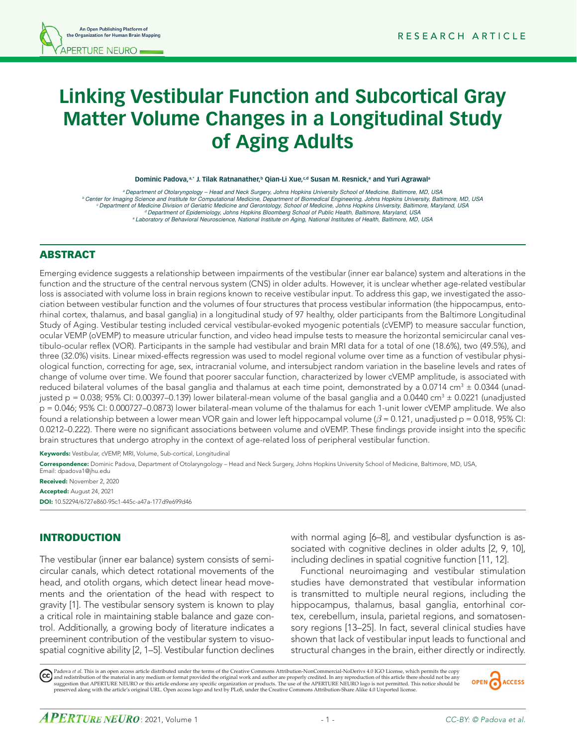# **Linking Vestibular Function and Subcortical Gray Matter Volume Changes in a Longitudinal Study of Aging Adults**

Dominic Padova, <sup>a,\*</sup> J. Tilak Ratnanather,<sup>b</sup> Qian-Li Xue,<sup>c,d</sup> Susan M. Resnick,<sup>e</sup> and Yuri Agrawal<sup>a</sup>

<sup>a</sup> Department of Otolaryngology - Head and Neck Surgery, Johns Hopkins University School of Medicine, Baltimore, MD, USA<br>Center for Imaging Science and Institute for Computational Medicine, Department of Biomedical Engine *c Department of Medicine Division of Geriatric Medicine and Gerontology, School of Medicine, Johns Hopkins University, Baltimore, Maryland, USA d Department of Epidemiology, Johns Hopkins Bloomberg School of Public Health, Baltimore, Maryland, USA e Laboratory of Behavioral Neuroscience, National Institute on Aging, National Institutes of Health, Baltimore, MD, USA*

#### ABSTRACT

Emerging evidence suggests a relationship between impairments of the vestibular (inner ear balance) system and alterations in the function and the structure of the central nervous system (CNS) in older adults. However, it is unclear whether age-related vestibular loss is associated with volume loss in brain regions known to receive vestibular input. To address this gap, we investigated the association between vestibular function and the volumes of four structures that process vestibular information (the hippocampus, entorhinal cortex, thalamus, and basal ganglia) in a longitudinal study of 97 healthy, older participants from the Baltimore Longitudinal Study of Aging. Vestibular testing included cervical vestibular-evoked myogenic potentials (cVEMP) to measure saccular function, ocular VEMP (oVEMP) to measure utricular function, and video head impulse tests to measure the horizontal semicircular canal vestibulo-ocular reflex (VOR). Participants in the sample had vestibular and brain MRI data for a total of one (18.6%), two (49.5%), and three (32.0%) visits. Linear mixed-effects regression was used to model regional volume over time as a function of vestibular physiological function, correcting for age, sex, intracranial volume, and intersubject random variation in the baseline levels and rates of change of volume over time. We found that poorer saccular function, characterized by lower cVEMP amplitude, is associated with reduced bilateral volumes of the basal ganglia and thalamus at each time point, demonstrated by a 0.0714 cm $^3$  ± 0.0344 (unadjusted p = 0.038; 95% CI: 0.00397–0.139) lower bilateral-mean volume of the basal ganglia and a 0.0440 cm<sup>3</sup>  $\pm$  0.0221 (unadjusted p = 0.046; 95% CI: 0.000727–0.0873) lower bilateral-mean volume of the thalamus for each 1-unit lower cVEMP amplitude. We also found a relationship between a lower mean VOR gain and lower left hippocampal volume (*β* = 0.121, unadjusted p = 0.018, 95% CI: 0.0212–0.222). There were no significant associations between volume and oVEMP. These findings provide insight into the specific brain structures that undergo atrophy in the context of age-related loss of peripheral vestibular function.

Keywords: Vestibular, cVEMP, MRI, Volume, Sub-cortical, Longitudinal

Correspondence: Dominic Padova, Department of Otolaryngology – Head and Neck Surgery, Johns Hopkins University School of Medicine, Baltimore, MD, USA,

Email: dpadova1@jhu.edu Received: November 2, 2020 Accepted: August 24, 2021 DOI: 10.52294/6727e860-95c1-445c-a47a-177d9e699d46

#### INTRODUCTION

The vestibular (inner ear balance) system consists of semicircular canals, which detect rotational movements of the head, and otolith organs, which detect linear head movements and the orientation of the head with respect to gravity [1]. The vestibular sensory system is known to play a critical role in maintaining stable balance and gaze control. Additionally, a growing body of literature indicates a preeminent contribution of the vestibular system to visuospatial cognitive ability [2, 1–5]. Vestibular function declines with normal aging [6–8], and vestibular dysfunction is associated with cognitive declines in older adults [2, 9, 10], including declines in spatial cognitive function [11, 12].

Functional neuroimaging and vestibular stimulation studies have demonstrated that vestibular information is transmitted to multiple neural regions, including the hippocampus, thalamus, basal ganglia, entorhinal cortex, cerebellum, insula, parietal regions, and somatosensory regions [13–25]. In fact, several clinical studies have shown that lack of vestibular input leads to functional and structural changes in the brain, either directly or indirectly.

Padova *et al.* This is an open access article distributed under the terms of the Creative Commons Attribution-NonCommercial-NoDerivs 4.0 IGO License, which permits the copy (cc) and redistribution of the material in any medium or format provided the original work and author are properly credited. In any reproduction of this article there should not be any<br>suggestion that APERTURE NEURO or this art preserved along with the article's original URL. Open access logo and text by PLoS, under the Creative Commons Attribution-Share Alike 4.0 Unported license.

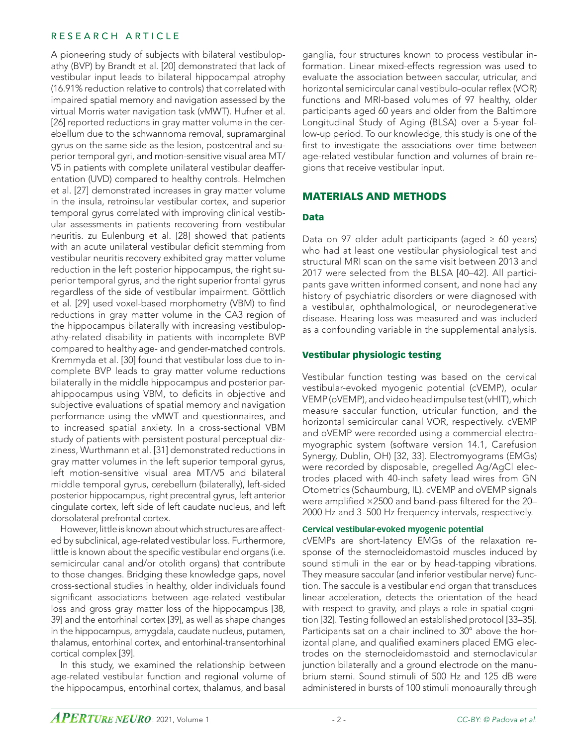A pioneering study of subjects with bilateral vestibulopathy (BVP) by Brandt et al. [20] demonstrated that lack of vestibular input leads to bilateral hippocampal atrophy (16.91% reduction relative to controls) that correlated with impaired spatial memory and navigation assessed by the virtual Morris water navigation task (vMWT). Hufner et al. [26] reported reductions in gray matter volume in the cerebellum due to the schwannoma removal, supramarginal gyrus on the same side as the lesion, postcentral and superior temporal gyri, and motion-sensitive visual area MT/ V5 in patients with complete unilateral vestibular deafferentation (UVD) compared to healthy controls. Helmchen et al. [27] demonstrated increases in gray matter volume in the insula, retroinsular vestibular cortex, and superior temporal gyrus correlated with improving clinical vestibular assessments in patients recovering from vestibular neuritis. zu Eulenburg et al. [28] showed that patients with an acute unilateral vestibular deficit stemming from vestibular neuritis recovery exhibited gray matter volume reduction in the left posterior hippocampus, the right superior temporal gyrus, and the right superior frontal gyrus regardless of the side of vestibular impairment. Göttlich et al. [29] used voxel-based morphometry (VBM) to find reductions in gray matter volume in the CA3 region of the hippocampus bilaterally with increasing vestibulopathy-related disability in patients with incomplete BVP compared to healthy age- and gender-matched controls. Kremmyda et al. [30] found that vestibular loss due to incomplete BVP leads to gray matter volume reductions bilaterally in the middle hippocampus and posterior parahippocampus using VBM, to deficits in objective and subjective evaluations of spatial memory and navigation performance using the vMWT and questionnaires, and to increased spatial anxiety. In a cross-sectional VBM study of patients with persistent postural perceptual dizziness, Wurthmann et al. [31] demonstrated reductions in gray matter volumes in the left superior temporal gyrus, left motion-sensitive visual area MT/V5 and bilateral middle temporal gyrus, cerebellum (bilaterally), left-sided posterior hippocampus, right precentral gyrus, left anterior cingulate cortex, left side of left caudate nucleus, and left dorsolateral prefrontal cortex.

However, little is known about which structures are affected by subclinical, age-related vestibular loss. Furthermore, little is known about the specific vestibular end organs (i.e. semicircular canal and/or otolith organs) that contribute to those changes. Bridging these knowledge gaps, novel cross-sectional studies in healthy, older individuals found significant associations between age-related vestibular loss and gross gray matter loss of the hippocampus [38, 39] and the entorhinal cortex [39], as well as shape changes in the hippocampus, amygdala, caudate nucleus, putamen, thalamus, entorhinal cortex, and entorhinal-transentorhinal cortical complex [39].

In this study, we examined the relationship between age-related vestibular function and regional volume of the hippocampus, entorhinal cortex, thalamus, and basal

ganglia, four structures known to process vestibular information. Linear mixed-effects regression was used to evaluate the association between saccular, utricular, and horizontal semicircular canal vestibulo-ocular reflex (VOR) functions and MRI-based volumes of 97 healthy, older participants aged 60 years and older from the Baltimore Longitudinal Study of Aging (BLSA) over a 5-year follow-up period. To our knowledge, this study is one of the first to investigate the associations over time between age-related vestibular function and volumes of brain regions that receive vestibular input.

# MATERIALS AND METHODS

#### Data

Data on 97 older adult participants (aged  $\geq 60$  years) who had at least one vestibular physiological test and structural MRI scan on the same visit between 2013 and 2017 were selected from the BLSA [40–42]. All participants gave written informed consent, and none had any history of psychiatric disorders or were diagnosed with a vestibular, ophthalmological, or neurodegenerative disease. Hearing loss was measured and was included as a confounding variable in the supplemental analysis.

#### Vestibular physiologic testing

Vestibular function testing was based on the cervical vestibular-evoked myogenic potential (cVEMP), ocular VEMP (oVEMP), and video head impulse test(vHIT), which measure saccular function, utricular function, and the horizontal semicircular canal VOR, respectively. cVEMP and oVEMP were recorded using a commercial electromyographic system (software version 14.1, Carefusion Synergy, Dublin, OH) [32, 33]. Electromyograms (EMGs) were recorded by disposable, pregelled Ag/AgCl electrodes placed with 40-inch safety lead wires from GN Otometrics (Schaumburg, IL). cVEMP and oVEMP signals were amplified  $\times$ 2500 and band-pass filtered for the 20– 2000 Hz and 3–500 Hz frequency intervals, respectively.

#### **Cervical vestibular-evoked myogenic potential**

cVEMPs are short-latency EMGs of the relaxation response of the sternocleidomastoid muscles induced by sound stimuli in the ear or by head-tapping vibrations. They measure saccular (and inferior vestibular nerve) function. The saccule is a vestibular end organ that transduces linear acceleration, detects the orientation of the head with respect to gravity, and plays a role in spatial cognition [32]. Testing followed an established protocol [33–35]. Participants sat on a chair inclined to 30° above the horizontal plane, and qualified examiners placed EMG electrodes on the sternocleidomastoid and sternoclavicular junction bilaterally and a ground electrode on the manubrium sterni. Sound stimuli of 500 Hz and 125 dB were administered in bursts of 100 stimuli monoaurally through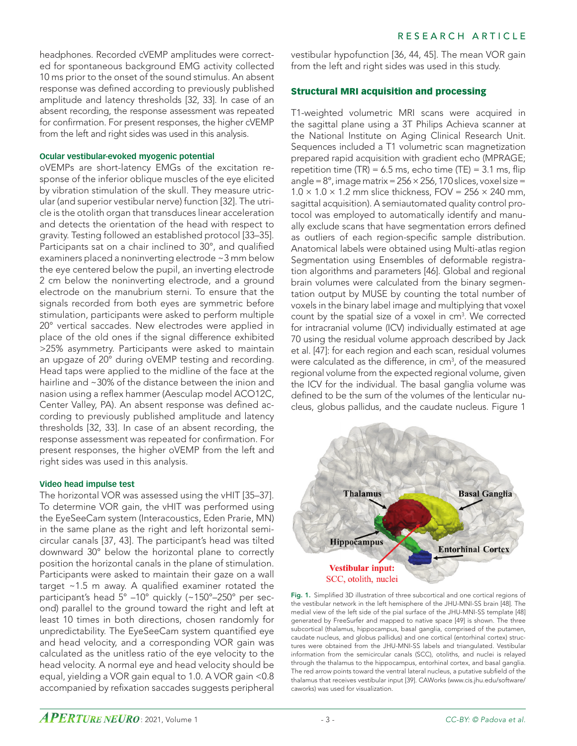headphones. Recorded cVEMP amplitudes were corrected for spontaneous background EMG activity collected 10 ms prior to the onset of the sound stimulus. An absent response was defined according to previously published amplitude and latency thresholds [32, 33]. In case of an absent recording, the response assessment was repeated for confirmation. For present responses, the higher cVEMP from the left and right sides was used in this analysis.

#### **Ocular vestibular-evoked myogenic potential**

oVEMPs are short-latency EMGs of the excitation response of the inferior oblique muscles of the eye elicited by vibration stimulation of the skull. They measure utricular (and superior vestibular nerve) function [32]. The utricle is the otolith organ that transduces linear acceleration and detects the orientation of the head with respect to gravity. Testing followed an established protocol [33–35]. Participants sat on a chair inclined to 30°, and qualified examiners placed a noninverting electrode ~3 mm below the eye centered below the pupil, an inverting electrode 2 cm below the noninverting electrode, and a ground electrode on the manubrium sterni. To ensure that the signals recorded from both eyes are symmetric before stimulation, participants were asked to perform multiple 20° vertical saccades. New electrodes were applied in place of the old ones if the signal difference exhibited >25% asymmetry. Participants were asked to maintain an upgaze of 20° during oVEMP testing and recording. Head taps were applied to the midline of the face at the hairline and ~30% of the distance between the inion and nasion using a reflex hammer (Aesculap model ACO12C, Center Valley, PA). An absent response was defined according to previously published amplitude and latency thresholds [32, 33]. In case of an absent recording, the response assessment was repeated for confirmation. For present responses, the higher oVEMP from the left and right sides was used in this analysis.

#### **Video head impulse test**

The horizontal VOR was assessed using the vHIT [35–37]. To determine VOR gain, the vHIT was performed using the EyeSeeCam system (Interacoustics, Eden Prarie, MN) in the same plane as the right and left horizontal semicircular canals [37, 43]. The participant's head was tilted downward 30° below the horizontal plane to correctly position the horizontal canals in the plane of stimulation. Participants were asked to maintain their gaze on a wall target  $~1.5$  m away. A qualified examiner rotated the participant's head 5° –10° quickly (~150°–250° per second) parallel to the ground toward the right and left at least 10 times in both directions, chosen randomly for unpredictability. The EyeSeeCam system quantified eye and head velocity, and a corresponding VOR gain was calculated as the unitless ratio of the eye velocity to the head velocity. A normal eye and head velocity should be equal, yielding a VOR gain equal to 1.0. A VOR gain <0.8 accompanied by refixation saccades suggests peripheral

vestibular hypofunction [36, 44, 45]. The mean VOR gain from the left and right sides was used in this study.

# Structural MRI acquisition and processing

T1-weighted volumetric MRI scans were acquired in the sagittal plane using a 3T Philips Achieva scanner at the National Institute on Aging Clinical Research Unit. Sequences included a T1 volumetric scan magnetization prepared rapid acquisition with gradient echo (MPRAGE; repetition time (TR) =  $6.5$  ms, echo time (TE) =  $3.1$  ms, flip angle =  $8^\circ$ , image matrix =  $256 \times 256$ , 170 slices, voxel size =  $1.0 \times 1.0 \times 1.2$  mm slice thickness, FOV = 256  $\times$  240 mm, sagittal acquisition). A semiautomated quality control protocol was employed to automatically identify and manually exclude scans that have segmentation errors defined as outliers of each region-specific sample distribution. Anatomical labels were obtained using Multi-atlas region Segmentation using Ensembles of deformable registration algorithms and parameters [46]. Global and regional brain volumes were calculated from the binary segmentation output by MUSE by counting the total number of voxels in the binary label image and multiplying that voxel count by the spatial size of a voxel in cm<sup>3</sup>. We corrected for intracranial volume (ICV) individually estimated at age 70 using the residual volume approach described by Jack et al. [47]: for each region and each scan, residual volumes were calculated as the difference, in cm<sup>3</sup>, of the measured regional volume from the expected regional volume, given the ICV for the individual. The basal ganglia volume was defined to be the sum of the volumes of the lenticular nucleus, globus pallidus, and the caudate nucleus. Figure 1



Fig. 1. Simplified 3D illustration of three subcortical and one cortical regions of the vestibular network in the left hemisphere of the JHU-MNI-SS brain [48]. The medial view of the left side of the pial surface of the JHU-MNI-SS template [48] generated by FreeSurfer and mapped to native space [49] is shown. The three subcortical (thalamus, hippocampus, basal ganglia, comprised of the putamen, caudate nucleus, and globus pallidus) and one cortical (entorhinal cortex) structures were obtained from the JHU-MNI-SS labels and triangulated. Vestibular information from the semicircular canals (SCC), otoliths, and nuclei is relayed through the thalamus to the hippocampus, entorhinal cortex, and basal ganglia. The red arrow points toward the ventral lateral nucleus, a putative subfield of the thalamus that receives vestibular input [39]. CAWorks (www.cis.jhu.edu/software/ caworks) was used for visualization.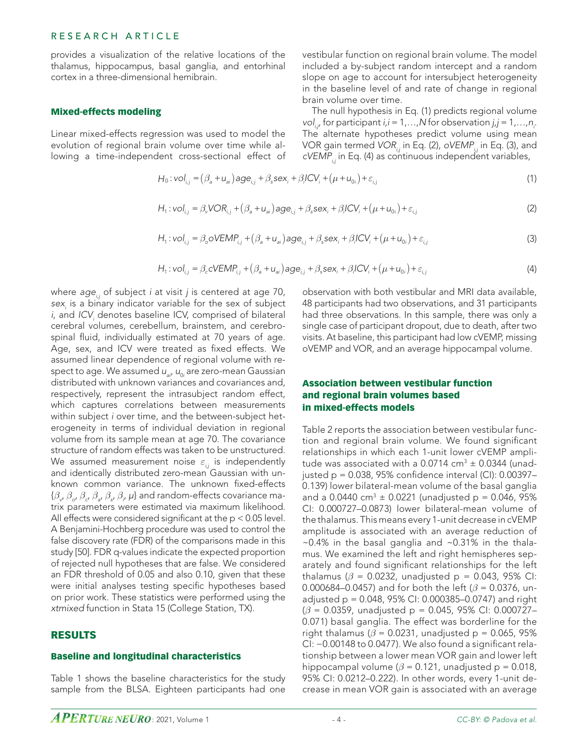provides a visualization of the relative locations of the thalamus, hippocampus, basal ganglia, and entorhinal cortex in a three-dimensional hemibrain.

#### Mixed-effects modeling

Linear mixed-effects regression was used to model the evolution of regional brain volume over time while allowing a time-independent cross-sectional effect of vestibular function on regional brain volume. The model included a by-subject random intercept and a random slope on age to account for intersubject heterogeneity in the baseline level of and rate of change in regional brain volume over time.

The null hypothesis in Eq. (1) predicts regional volume *vol<sub>i,j</sub>*, for participant *i*,*i* = 1,...,N for observation *j*,*j* = 1,...,n<sub>j</sub>. The alternate hypotheses predict volume using mean VOR gain termed *VOR<sub>i</sub>*, in Eq. (2), *oVEMP<sub>i</sub>*, in Eq. (3), and *cVEMP<sub>i</sub>*, in Eq. (4) as continuous independent variables,

$$
H_0: vol_{i,j} = (\beta_a + u_{ai})age_{i,j} + \beta_s sex_i + \beta_iICV_i + (\mu + u_{0i}) + \varepsilon_{i,j}
$$
\n
$$
(1)
$$

$$
H_1: vol_{i,j} = \beta_v VOR_{i,j} + (\beta_a + u_{ai})age_{i,j} + \beta_s sex_i + \beta_i CV_i + (\mu + u_{0i}) + \varepsilon_{i,j}
$$
\n(2)

$$
H_1: vol_{i,j} = \beta_o oVEMP_{i,j} + (\beta_a + u_{ai}) age_{i,j} + \beta_s sex_i + \beta_i lCV_i + (\mu + u_{0i}) + \varepsilon_{i,j}
$$
\n(3)

$$
H_1: \text{vol}_{i,j} = \beta_c \text{cVEMP}_{i,j} + (\beta_a + u_{ai}) \text{age}_{i,j} + \beta_s \text{sex}_i + \beta_i \text{ICV}_i + (\mu + u_{0i}) + \varepsilon_{i,j}
$$
(4)

where *age<sub>ii</sub>* of subject *i* at visit *j* is centered at age 70, *sexi* is a binary indicator variable for the sex of subject *i*, and *ICV<sub>i</sub>* denotes baseline ICV, comprised of bilateral cerebral volumes, cerebellum, brainstem, and cerebrospinal fluid, individually estimated at 70 years of age. Age, sex, and ICV were treated as fixed effects. We assumed linear dependence of regional volume with respect to age. We assumed  $u_{_{ai'}}$   $u_{_{0i}}$  are zero-mean Gaussian distributed with unknown variances and covariances and, respectively, represent the intrasubject random effect, which captures correlations between measurements within subject *i* over time, and the between-subject heterogeneity in terms of individual deviation in regional volume from its sample mean at age 70. The covariance structure of random effects was taken to be unstructured. We assumed measurement noise  $ε_{ij}$  is independently and identically distributed zero-mean Gaussian with unknown common variance. The unknown fixed-effects {*βv* , *βo*, *β<sup>c</sup>* , *β<sup>a</sup>* , *β<sup>s</sup>* , *βi* , *μ*} and random-effects covariance matrix parameters were estimated via maximum likelihood. All effects were considered significant at the  $p < 0.05$  level. A Benjamini-Hochberg procedure was used to control the false discovery rate (FDR) of the comparisons made in this study [50]. FDR q-values indicate the expected proportion of rejected null hypotheses that are false. We considered an FDR threshold of 0.05 and also 0.10, given that these were initial analyses testing specific hypotheses based on prior work. These statistics were performed using the *xtmixed* function in Stata 15 (College Station, TX).

#### RESULTS

#### Baseline and longitudinal characteristics

Table 1 shows the baseline characteristics for the study sample from the BLSA. Eighteen participants had one

observation with both vestibular and MRI data available, 48 participants had two observations, and 31 participants had three observations. In this sample, there was only a single case of participant dropout, due to death, after two visits. At baseline, this participant had low cVEMP, missing oVEMP and VOR, and an average hippocampal volume.

#### Association between vestibular function and regional brain volumes based in mixed-effects models

Table 2 reports the association between vestibular function and regional brain volume. We found significant relationships in which each 1-unit lower cVEMP amplitude was associated with a 0.0714 cm $^3$   $\pm$  0.0344 (unadjusted  $p = 0.038$ , 95% confidence interval (CI): 0.00397– 0.139) lower bilateral-mean volume of the basal ganglia and a 0.0440 cm<sup>3</sup>  $\pm$  0.0221 (unadjusted p = 0.046, 95% CI: 0.000727–0.0873) lower bilateral-mean volume of the thalamus. This means every 1-unit decrease in cVEMP amplitude is associated with an average reduction of  $\sim$ 0.4% in the basal ganglia and  $\sim$ 0.31% in the thalamus. We examined the left and right hemispheres separately and found significant relationships for the left thalamus ( $\beta$  = 0.0232, unadjusted p = 0.043, 95% CI: 0.000684–0.0457) and for both the left (*β* = 0.0376, unadjusted p = 0.048, 95% CI: 0.000385–0.0747) and right (*β* = 0.0359, unadjusted p = 0.045, 95% CI: 0.000727– 0.071) basal ganglia. The effect was borderline for the right thalamus ( $\beta$  = 0.0231, unadjusted p = 0.065, 95% CI: −0.00148 to 0.0477). We also found a significant relationship between a lower mean VOR gain and lower left hippocampal volume ( $\beta$  = 0.121, unadjusted p = 0.018, 95% CI: 0.0212–0.222). In other words, every 1-unit decrease in mean VOR gain is associated with an average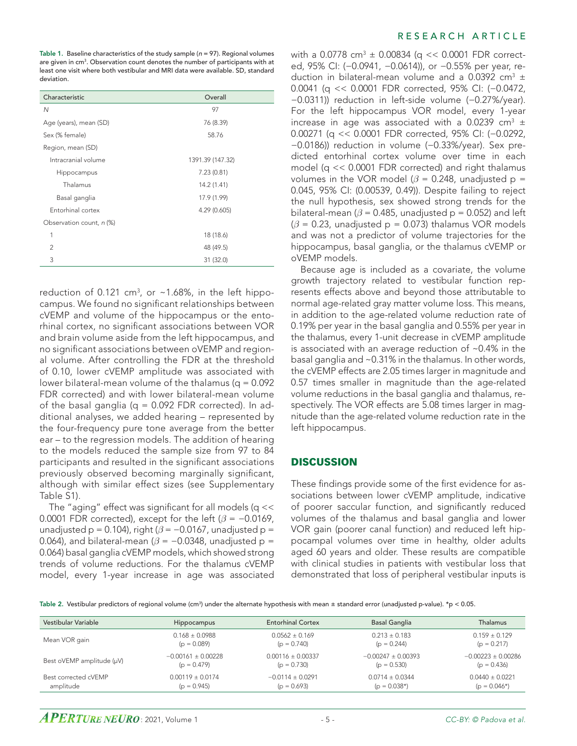Table 1. Baseline characteristics of the study sample (*n* = 97). Regional volumes are given in cm<sup>3</sup>. Observation count denotes the number of participants with at least one visit where both vestibular and MRI data were available. SD, standard deviation.

| Characteristic           | Overall          |  |
|--------------------------|------------------|--|
| N                        | 97               |  |
| Age (years), mean (SD)   | 76 (8.39)        |  |
| Sex (% female)           | 58.76            |  |
| Region, mean (SD)        |                  |  |
| Intracranial volume      | 1391.39 (147.32) |  |
| Hippocampus              | 7.23(0.81)       |  |
| Thalamus                 | 14.2 (1.41)      |  |
| Basal ganglia            | 17.9 (1.99)      |  |
| Entorhinal cortex        | 4.29 (0.605)     |  |
| Observation count, n (%) |                  |  |
| 1                        | 18 (18.6)        |  |
| $\mathcal{P}$            | 48 (49.5)        |  |
| 3                        | 31 (32.0)        |  |

reduction of 0.121 cm<sup>3</sup>, or ~1.68%, in the left hippocampus. We found no significant relationships between cVEMP and volume of the hippocampus or the entorhinal cortex, no significant associations between VOR and brain volume aside from the left hippocampus, and no significant associations between oVEMP and regional volume. After controlling the FDR at the threshold of 0.10, lower cVEMP amplitude was associated with lower bilateral-mean volume of the thalamus ( $q = 0.092$ ) FDR corrected) and with lower bilateral-mean volume of the basal ganglia ( $q = 0.092$  FDR corrected). In additional analyses, we added hearing – represented by the four-frequency pure tone average from the better ear – to the regression models. The addition of hearing to the models reduced the sample size from 97 to 84 participants and resulted in the significant associations previously observed becoming marginally significant, although with similar effect sizes (see Supplementary Table S1).

The "aging" effect was significant for all models (q  $<<$ 0.0001 FDR corrected), except for the left (*β* = −0.0169, unadjusted p = 0.104), right  $(\beta = -0.0167)$ , unadjusted p = 0.064), and bilateral-mean ( $\beta$  = −0.0348, unadjusted p = 0.064) basal ganglia cVEMP models, which showed strong trends of volume reductions. For the thalamus cVEMP model, every 1-year increase in age was associated

#### RESEARCH ARTICLE

with a 0.0778 cm<sup>3</sup>  $\pm$  0.00834 (q << 0.0001 FDR corrected, 95% CI: (−0.0941, −0.0614)), or −0.55% per year, reduction in bilateral-mean volume and a 0.0392 cm<sup>3</sup>  $\pm$ 0.0041 (q << 0.0001 FDR corrected, 95% CI: (−0.0472, −0.0311)) reduction in left-side volume (−0.27%/year). For the left hippocampus VOR model, every 1-year increase in age was associated with a 0.0239 cm<sup>3</sup>  $\pm$ 0.00271 (q << 0.0001 FDR corrected, 95% CI: (−0.0292, −0.0186)) reduction in volume (−0.33%/year). Sex predicted entorhinal cortex volume over time in each model (q << 0.0001 FDR corrected) and right thalamus volumes in the VOR model ( $\beta$  = 0.248, unadjusted p = 0.045, 95% CI: (0.00539, 0.49)). Despite failing to reject the null hypothesis, sex showed strong trends for the bilateral-mean ( $\beta$  = 0.485, unadjusted p = 0.052) and left  $(\beta = 0.23$ , unadjusted p = 0.073) thalamus VOR models and was not a predictor of volume trajectories for the hippocampus, basal ganglia, or the thalamus cVEMP or oVEMP models.

Because age is included as a covariate, the volume growth trajectory related to vestibular function represents effects above and beyond those attributable to normal age-related gray matter volume loss. This means, in addition to the age-related volume reduction rate of 0.19% per year in the basal ganglia and 0.55% per year in the thalamus, every 1-unit decrease in cVEMP amplitude is associated with an average reduction of ~0.4% in the basal ganglia and ~0.31% in the thalamus. In other words, the cVEMP effects are 2.05 times larger in magnitude and 0.57 times smaller in magnitude than the age-related volume reductions in the basal ganglia and thalamus, respectively. The VOR effects are 5.08 times larger in magnitude than the age-related volume reduction rate in the left hippocampus.

#### **DISCUSSION**

These findings provide some of the first evidence for associations between lower cVEMP amplitude, indicative of poorer saccular function, and significantly reduced volumes of the thalamus and basal ganglia and lower VOR gain (poorer canal function) and reduced left hippocampal volumes over time in healthy, older adults aged 60 years and older. These results are compatible with clinical studies in patients with vestibular loss that demonstrated that loss of peripheral vestibular inputs is

Table 2. Vestibular predictors of regional volume (cm<sup>3</sup>) under the alternate hypothesis with mean ± standard error (unadjusted p-value). \*p < 0.05.

| Vestibular Variable            | <b>Hippocampus</b>     | <b>Entorhinal Cortex</b> | <b>Basal Ganglia</b>   | Thalamus               |
|--------------------------------|------------------------|--------------------------|------------------------|------------------------|
| Mean VOR gain                  | $0.168 \pm 0.0988$     | $0.0562 \pm 0.169$       | $0.213 \pm 0.183$      | $0.159 \pm 0.129$      |
|                                | $(p = 0.089)$          | $(p = 0.740)$            | $(p = 0.244)$          | $(p = 0.217)$          |
| Best oVEMP amplitude $(\mu V)$ | $-0.00161 \pm 0.00228$ | $0.00116 \pm 0.00337$    | $-0.00247 \pm 0.00393$ | $-0.00223 \pm 0.00286$ |
|                                | $(p = 0.479)$          | $(p = 0.730)$            | $(p = 0.530)$          | $(p = 0.436)$          |
| Best corrected cVEMP           | $0.00119 \pm 0.0174$   | $-0.0114 \pm 0.0291$     | $0.0714 \pm 0.0344$    | $0.0440 \pm 0.0221$    |
| amplitude                      | $(p = 0.945)$          | $(p = 0.693)$            | $(p = 0.038*)$         | $(p = 0.046*)$         |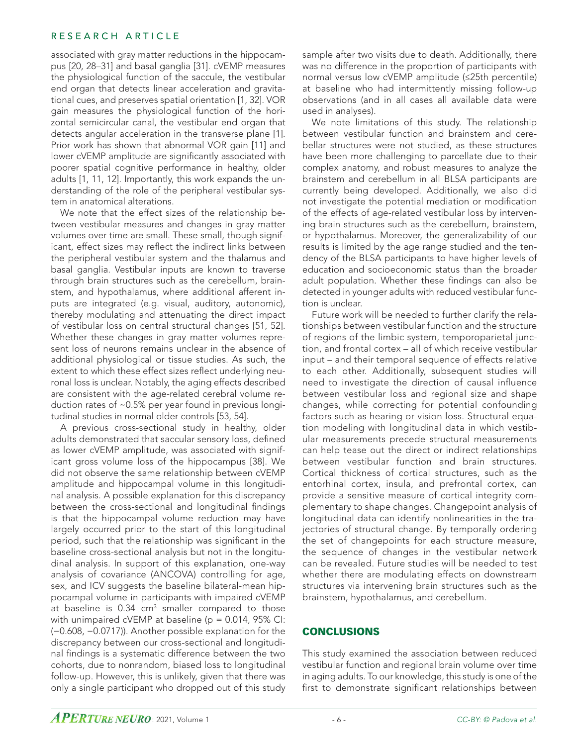associated with gray matter reductions in the hippocampus [20, 28–31] and basal ganglia [31]. cVEMP measures the physiological function of the saccule, the vestibular end organ that detects linear acceleration and gravitational cues, and preserves spatial orientation [1, 32]. VOR gain measures the physiological function of the horizontal semicircular canal, the vestibular end organ that detects angular acceleration in the transverse plane [1]. Prior work has shown that abnormal VOR gain [11] and lower cVEMP amplitude are significantly associated with poorer spatial cognitive performance in healthy, older adults [1, 11, 12]. Importantly, this work expands the understanding of the role of the peripheral vestibular system in anatomical alterations.

We note that the effect sizes of the relationship between vestibular measures and changes in gray matter volumes over time are small. These small, though significant, effect sizes may reflect the indirect links between the peripheral vestibular system and the thalamus and basal ganglia. Vestibular inputs are known to traverse through brain structures such as the cerebellum, brainstem, and hypothalamus, where additional afferent inputs are integrated (e.g. visual, auditory, autonomic), thereby modulating and attenuating the direct impact of vestibular loss on central structural changes [51, 52]. Whether these changes in gray matter volumes represent loss of neurons remains unclear in the absence of additional physiological or tissue studies. As such, the extent to which these effect sizes reflect underlying neuronal loss is unclear. Notably, the aging effects described are consistent with the age-related cerebral volume reduction rates of ~0.5% per year found in previous longitudinal studies in normal older controls [53, 54].

A previous cross-sectional study in healthy, older adults demonstrated that saccular sensory loss, defined as lower cVEMP amplitude, was associated with significant gross volume loss of the hippocampus [38]. We did not observe the same relationship between cVEMP amplitude and hippocampal volume in this longitudinal analysis. A possible explanation for this discrepancy between the cross-sectional and longitudinal findings is that the hippocampal volume reduction may have largely occurred prior to the start of this longitudinal period, such that the relationship was significant in the baseline cross-sectional analysis but not in the longitudinal analysis. In support of this explanation, one-way analysis of covariance (ANCOVA) controlling for age, sex, and ICV suggests the baseline bilateral-mean hippocampal volume in participants with impaired cVEMP at baseline is 0.34 cm<sup>3</sup> smaller compared to those with unimpaired cVEMP at baseline ( $p = 0.014$ , 95% CI: (−0.608, −0.0717)). Another possible explanation for the discrepancy between our cross-sectional and longitudinal findings is a systematic difference between the two cohorts, due to nonrandom, biased loss to longitudinal follow-up. However, this is unlikely, given that there was only a single participant who dropped out of this study

sample after two visits due to death. Additionally, there was no difference in the proportion of participants with normal versus low cVEMP amplitude (≤25th percentile) at baseline who had intermittently missing follow-up observations (and in all cases all available data were used in analyses).

We note limitations of this study. The relationship between vestibular function and brainstem and cerebellar structures were not studied, as these structures have been more challenging to parcellate due to their complex anatomy, and robust measures to analyze the brainstem and cerebellum in all BLSA participants are currently being developed. Additionally, we also did not investigate the potential mediation or modification of the effects of age-related vestibular loss by intervening brain structures such as the cerebellum, brainstem, or hypothalamus. Moreover, the generalizability of our results is limited by the age range studied and the tendency of the BLSA participants to have higher levels of education and socioeconomic status than the broader adult population. Whether these findings can also be detected in younger adults with reduced vestibular function is unclear.

Future work will be needed to further clarify the relationships between vestibular function and the structure of regions of the limbic system, temporoparietal junction, and frontal cortex – all of which receive vestibular input – and their temporal sequence of effects relative to each other. Additionally, subsequent studies will need to investigate the direction of causal influence between vestibular loss and regional size and shape changes, while correcting for potential confounding factors such as hearing or vision loss. Structural equation modeling with longitudinal data in which vestibular measurements precede structural measurements can help tease out the direct or indirect relationships between vestibular function and brain structures. Cortical thickness of cortical structures, such as the entorhinal cortex, insula, and prefrontal cortex, can provide a sensitive measure of cortical integrity complementary to shape changes. Changepoint analysis of longitudinal data can identify nonlinearities in the trajectories of structural change. By temporally ordering the set of changepoints for each structure measure, the sequence of changes in the vestibular network can be revealed. Future studies will be needed to test whether there are modulating effects on downstream structures via intervening brain structures such as the brainstem, hypothalamus, and cerebellum.

# **CONCLUSIONS**

This study examined the association between reduced vestibular function and regional brain volume over time in aging adults. To our knowledge, this study is one of the first to demonstrate significant relationships between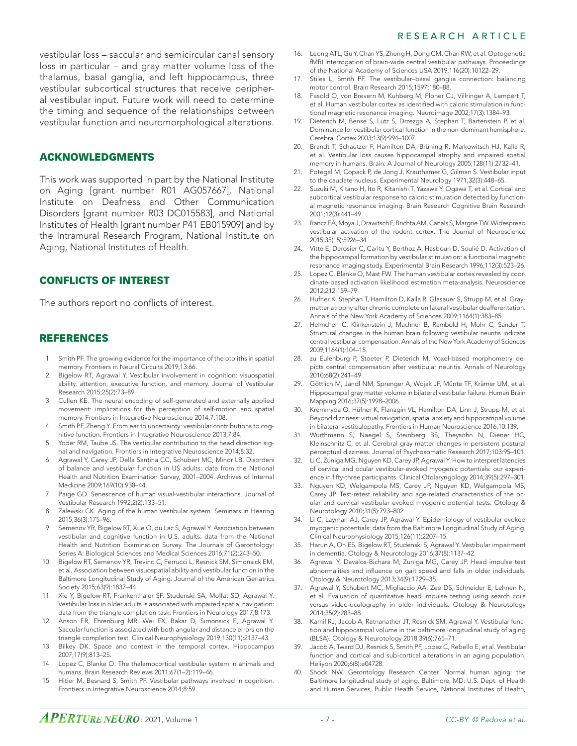vestibular loss – saccular and semicircular canal sensory loss in particular – and gray matter volume loss of the thalamus, basal ganglia, and left hippocampus, three vestibular subcortical structures that receive peripheral vestibular input. Future work will need to determine the timing and sequence of the relationships between vestibular function and neuromorphological alterations.

## ACKNOWLEDGMENTS

This work was supported in part by the National Institute on Aging [grant number R01 AG057667], National Institute on Deafness and Other Communication Disorders [grant number R03 DC015583], and National Institutes of Health [grant number P41 EB015909] and by the Intramural Research Program, National Institute on Aging, National Institutes of Health.

# CONFLICTS OF INTEREST

The authors report no conflicts of interest.

#### REFERENCES

- 1. Smith PF. The growing evidence for the importance of the otoliths in spatial memory. Frontiers in Neural Circuits 2019;13:66.
- Bigelow RT, Agrawal Y. Vestibular involvement in cognition: visuospatial ability, attention, executive function, and memory. Journal of Vestibular Research 2015;25(2):73–89.
- 3. Cullen KE. The neural encoding of self-generated and externally applied movement: implications for the perception of self-motion and spatial memory. Frontiers in Integrative Neuroscience 2014;7:108.
- 4. Smith PF, Zheng Y. From ear to uncertainty: vestibular contributions to cognitive function. Frontiers in Integrative Neuroscience 2013;7:84.
- 5. Yoder RM, Taube JS. The vestibular contribution to the head direction signal and navigation. Frontiers in Integrative Neuroscience 2014;8:32.
- 6. Agrawal Y, Carey JP, Della Santina CC, Schubert MC, Minor LB. Disorders of balance and vestibular function in US adults: data from the National Health and Nutrition Examination Survey, 2001–2004. Archives of Internal Medicine 2009;169(10):938–44.
- 7. Paige GD. Senescence of human visual-vestibular interactions. Journal of Vestibular Research 1992;2(2):133–51.
- 8. Zalewski CK. Aging of the human vestibular system. Seminars in Hearing 2015;36(3):175–96.
- 9. Semenov YR, Bigelow RT, Xue Q, du Lac S, Agrawal Y. Association between vestibular and cognitive function in U.S. adults: data from the National Health and Nutrition Examination Survey. The Journals of Gerontology: Series A: Biological Sciences and Medical Sciences 2016;71(2):243–50.
- Bigelow RT, Semenov YR, Trevino C, Ferrucci L, Resnick SM, Simonsick EM, et al. Association between visuospatial ability and vestibular function in the Baltimore Longitudinal Study of Aging. Journal of the American Geriatrics Society 2015;63(9):1837–44.
- 11. Xie Y, Bigelow RT, Frankenthaler SF, Studenski SA, Moffat SD, Agrawal Y. Vestibular loss in older adults is associated with impaired spatial navigation: data from the triangle completion task. Frontiers in Neurology 2017;8:173.
- 12. Anson ER, Ehrenburg MR, Wei EX, Bakar D, Simonsick E, Agrawal Y. Saccular function is associated with both angular and distance errors on the triangle completion test. Clinical Neurophysiology 2019;130(11):2137–43.
- 13. Bilkey DK. Space and context in the temporal cortex. Hippocampus 2007;17(9):813–25.
- 14. Lopez C, Blanke O. The thalamocortical vestibular system in animals and humans. Brain Research Reviews 2011;67(1–2):119–46.
- 15. Hitier M, Besnard S, Smith PF. Vestibular pathways involved in cognition. Frontiers in Integrative Neuroscience 2014;8:59.
- 16. Leong ATL, Gu Y, Chan YS, Zheng H, Dong CM, Chan RW, et al. Optogenetic fMRI interrogation of brain-wide central vestibular pathways. Proceedings of the National Academy of Sciences USA 2019;116(20):10122–29.
- 17. Stiles L, Smith PF. The vestibular–basal ganglia connection: balancing motor control. Brain Research 2015;1597:180–88.
- 18. Fasold O, von Brevern M, Kuhberg M, Ploner CJ, Villringer A, Lempert T, et al. Human vestibular cortex as identified with caloric stimulation in functional magnetic resonance imaging. Neuroimage 2002;17(3):1384–93.
- 19. Dieterich M, Bense S, Lutz S, Drzezga A, Stephan T, Bartenstein P, et al. Dominance for vestibular cortical function in the non-dominant hemisphere. Cerebral Cortex 2003;13(9):994–1007.
- 20. Brandt T, Schautzer F, Hamilton DA, Brüning R, Markowitsch HJ, Kalla R, et al. Vestibular loss causes hippocampal atrophy and impaired spatial memory in humans. Brain: A Journal of Neurology 2005;128(11):2732–41.
- 21. Potegal M, Copack P, de Jong J, Krauthamer G, Gilman S. Vestibular input to the caudate nucleus. Experimental Neurology 1971;32(3):448–65.
- 22. Suzuki M, Kitano H, Ito R, Kitanishi T, Yazawa Y, Ogawa T, et al. Cortical and subcortical vestibular response to caloric stimulation detected by functional magnetic resonance imaging. Brain Research Cognitive Brain Research 2001;12(3):441–49.
- Rancz EA, Moya J, Drawitsch F, Brichta AM, Canals S, Margrie TW. Widespread vestibular activation of the rodent cortex. The Journal of Neuroscience 2015;35(15):5926–34.
- 24. Vitte E, Derosier C, Caritu Y, Berthoz A, Hasboun D, Soulié D. Activation of the hippocampal formation by vestibular stimulation: a functional magnetic resonance imaging study. Experimental Brain Research 1996;112(3):523–26.
- 25. Lopez C, Blanke O, Mast FW. The human vestibular cortex revealed by coordinate-based activation likelihood estimation meta-analysis. Neuroscience 2012;212:159–79.
- 26. Hufner K, Stephan T, Hamilton D, Kalla R, Glasauer S, Strupp M, et al. Graymatter atrophy after chronic complete unilateral vestibular deafferentation. Annals of the New York Academy of Sciences 2009;1164(1):383–85.
- 27. Helmchen C, Klinkenstein J, Machner B, Rambold H, Mohr C, Sander T. Structural changes in the human brain following vestibular neuritis indicate central vestibular compensation. Annals of the New York Academy of Sciences 2009;1164(1):104–15.
- 28. zu Eulenburg P, Stoeter P, Dieterich M. Voxel‐based morphometry depicts central compensation after vestibular neuritis. Annals of Neurology 2010;68(2):241–49.
- 29. Göttlich M, Jandl NM, Sprenger A, Wojak JF, Münte TF, Krämer UM, et al. Hippocampal gray matter volume in bilateral vestibular failure. Human Brain Mapping 2016;37(5):1998–2006.
- 30. Kremmyda O, Hüfner K, Flanagin VL, Hamilton DA, Linn J, Strupp M, et al. Beyond dizziness: virtual navigation, spatial anxiety and hippocampal volume in bilateral vestibulopathy. Frontiers in Human Neuroscience 2016;10:139.
- 31. Wurthmann S, Naegel S, Steinberg BS, Theysohn N, Diener HC, Kleinschnitz C, et al. Cerebral gray matter changes in persistent postural perceptual dizziness. Journal of Psychosomatic Research 2017;103:95–101.
- Li C, Zuniga MG, Nguyen KD, Carey JP, Agrawal Y. How to interpret latencies of cervical and ocular vestibular-evoked myogenic potentials: our experience in fifty-three participants. Clinical Otolaryngology 2014;39(5):297-301.
- 33. Nguyen KD, Welgampola MS, Carey JP, Nguyen KD, Welgampola MS, Carey JP. Test-retest reliability and age-related characteristics of the ocular and cervical vestibular evoked myogenic potential tests. Otology & Neurotology 2010;31(5):793–802.
- Li C, Layman AJ, Carey JP, Agrawal Y. Epidemiology of vestibular evoked myogenic potentials: data from the Baltimore Longitudinal Study of Aging. Clinical Neurophysiology 2015;126(11):2207–15.
- 35. Harun A, Oh ES, Bigelow RT, Studenski S, Agrawal Y. Vestibular impairment in dementia. Otology & Neurotology 2016;37(8):1137–42.
- Agrawal Y, Davalos-Bichara M, Zuniga MG, Carey JP. Head impulse test abnormalities and influence on gait speed and falls in older individuals. Otology & Neurotology 2013;34(9):1729–35.
- 37. Agrawal Y, Schubert MC, Migliaccio AA, Zee DS, Schneider E, Lehnen N, et al. Evaluation of quantitative head impulse testing using search coils versus video-oculography in older individuals. Otology & Neurotology 2014;35(2):283–88.
- Kamil RJ, Jacob A, Ratnanather JT, Resnick SM, Agrawal Y. Vestibular function and hippocampal volume in the baltimore longitudinal study of aging (BLSA). Otology & Neurotology 2018;39(6):765–71.
- 39. Jacob A, Tward DJ, Resnick S, Smith PF, Lopez C, Rebello E, et al. Vestibular function and cortical and sub-cortical alterations in an aging population. Heliyon 2020;6(8):e04728.
- 40. Shock NW, Gerontology Research Center. Normal human aging: the Baltimore longitudinal study of aging. Baltimore, MD: U.S. Dept. of Health and Human Services, Public Health Service, National Institutes of Health,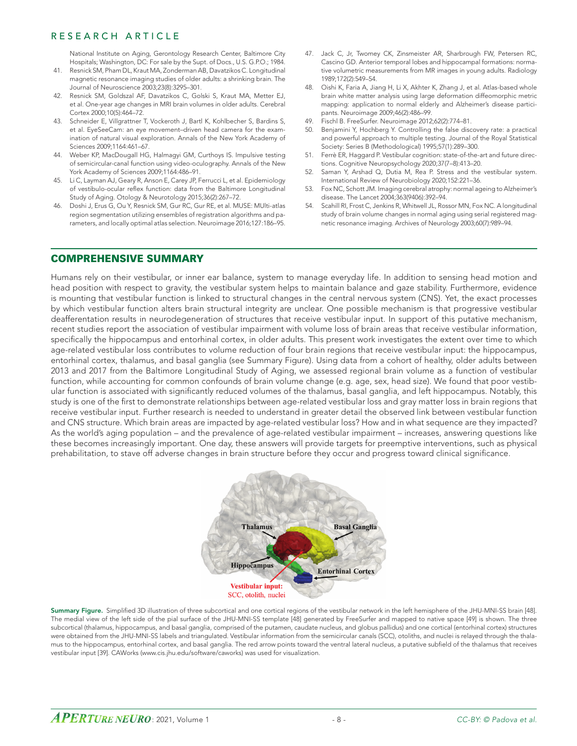National Institute on Aging, Gerontology Research Center, Baltimore City Hospitals; Washington, DC: For sale by the Supt. of Docs., U.S. G.P.O.; 1984.

- 41. Resnick SM, Pham DL, Kraut MA, Zonderman AB, Davatzikos C. Longitudinal magnetic resonance imaging studies of older adults: a shrinking brain. The Journal of Neuroscience 2003;23(8):3295–301.
- 42. Resnick SM, Goldszal AF, Davatzikos C, Golski S, Kraut MA, Metter EJ, et al. One-year age changes in MRI brain volumes in older adults. Cerebral Cortex 2000;10(5):464–72.
- 43. Schneider E, Villgrattner T, Vockeroth J, Bartl K, Kohlbecher S, Bardins S, et al. EyeSeeCam: an eye movement–driven head camera for the examination of natural visual exploration. Annals of the New York Academy of Sciences 2009;1164:461–67.
- 44. Weber KP, MacDougall HG, Halmagyi GM, Curthoys IS. Impulsive testing of semicircular-canal function using video-oculography. Annals of the New York Academy of Sciences 2009;1164:486–91.
- 45. Li C, Layman AJ, Geary R, Anson E, Carey JP, Ferrucci L, et al. Epidemiology of vestibulo-ocular reflex function: data from the Baltimore Longitudinal Study of Aging. Otology & Neurotology 2015;36(2):267–72.
- 46. Doshi J, Erus G, Ou Y, Resnick SM, Gur RC, Gur RE, et al. MUSE: MUlti-atlas region segmentation utilizing ensembles of registration algorithms and parameters, and locally optimal atlas selection. Neuroimage 2016;127:186–95.
- 47. Jack C, Jr, Twomey CK, Zinsmeister AR, Sharbrough FW, Petersen RC, Cascino GD. Anterior temporal lobes and hippocampal formations: normative volumetric measurements from MR images in young adults. Radiology 1989;172(2):549–54.
- 48. Oishi K, Faria A, Jiang H, Li X, Akhter K, Zhang J, et al. Atlas-based whole brain white matter analysis using large deformation diffeomorphic metric mapping: application to normal elderly and Alzheimer's disease participants. Neuroimage 2009;46(2):486–99.
- 49. Fischl B. FreeSurfer. Neuroimage 2012;62(2):774–81.
- 50. Benjamini Y, Hochberg Y. Controlling the false discovery rate: a practical and powerful approach to multiple testing. Journal of the Royal Statistical Society: Series B (Methodological) 1995;57(1):289–300.
- 51. Ferrè ER, Haggard P. Vestibular cognition: state-of-the-art and future directions. Cognitive Neuropsychology 2020;37(7–8):413–20.
- 52. Saman Y, Arshad Q, Dutia M, Rea P. Stress and the vestibular system. International Review of Neurobiology 2020;152:221–36.
- 53. Fox NC, Schott JM. Imaging cerebral atrophy: normal ageing to Alzheimer's disease. The Lancet 2004;363(9406):392–94.
- 54. Scahill RI, Frost C, Jenkins R, Whitwell JL, Rossor MN, Fox NC. A longitudinal study of brain volume changes in normal aging using serial registered magnetic resonance imaging. Archives of Neurology 2003;60(7):989–94.

# COMPREHENSIVE SUMMARY

Humans rely on their vestibular, or inner ear balance, system to manage everyday life. In addition to sensing head motion and head position with respect to gravity, the vestibular system helps to maintain balance and gaze stability. Furthermore, evidence is mounting that vestibular function is linked to structural changes in the central nervous system (CNS). Yet, the exact processes by which vestibular function alters brain structural integrity are unclear. One possible mechanism is that progressive vestibular deafferentation results in neurodegeneration of structures that receive vestibular input. In support of this putative mechanism, recent studies report the association of vestibular impairment with volume loss of brain areas that receive vestibular information, specifically the hippocampus and entorhinal cortex, in older adults. This present work investigates the extent over time to which age-related vestibular loss contributes to volume reduction of four brain regions that receive vestibular input: the hippocampus, entorhinal cortex, thalamus, and basal ganglia (see Summary Figure). Using data from a cohort of healthy, older adults between 2013 and 2017 from the Baltimore Longitudinal Study of Aging, we assessed regional brain volume as a function of vestibular function, while accounting for common confounds of brain volume change (e.g. age, sex, head size). We found that poor vestibular function is associated with significantly reduced volumes of the thalamus, basal ganglia, and left hippocampus. Notably, this study is one of the first to demonstrate relationships between age-related vestibular loss and gray matter loss in brain regions that receive vestibular input. Further research is needed to understand in greater detail the observed link between vestibular function and CNS structure. Which brain areas are impacted by age-related vestibular loss? How and in what sequence are they impacted? As the world's aging population – and the prevalence of age-related vestibular impairment – increases, answering questions like these becomes increasingly important. One day, these answers will provide targets for preemptive interventions, such as physical prehabilitation, to stave off adverse changes in brain structure before they occur and progress toward clinical significance.



Summary Figure. Simplified 3D illustration of three subcortical and one cortical regions of the vestibular network in the left hemisphere of the JHU-MNI-SS brain [48]. The medial view of the left side of the pial surface of the JHU-MNI-SS template [48] generated by FreeSurfer and mapped to native space [49] is shown. The three subcortical (thalamus, hippocampus, and basal ganglia, comprised of the putamen, caudate nucleus, and globus pallidus) and one cortical (entorhinal cortex) structures were obtained from the JHU-MNI-SS labels and triangulated. Vestibular information from the semicircular canals (SCC), otoliths, and nuclei is relayed through the thalamus to the hippocampus, entorhinal cortex, and basal ganglia. The red arrow points toward the ventral lateral nucleus, a putative subfield of the thalamus that receives vestibular input [39]. CAWorks (www.cis.jhu.edu/software/caworks) was used for visualization.